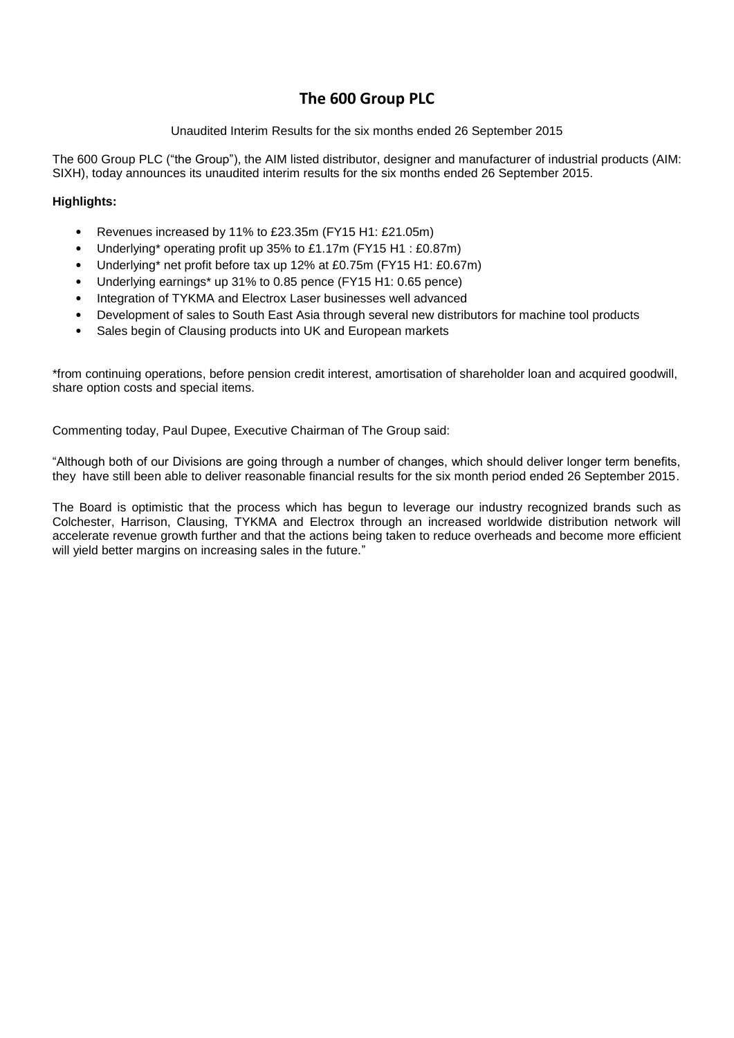# **The 600 Group PLC**

# Unaudited Interim Results for the six months ended 26 September 2015

The 600 Group PLC ("the Group"), the AIM listed distributor, designer and manufacturer of industrial products (AIM: SIXH), today announces its unaudited interim results for the six months ended 26 September 2015.

# **Highlights:**

- Revenues increased by 11% to £23.35m (FY15 H1: £21.05m)
- Underlying\* operating profit up 35% to £1.17m (FY15 H1 : £0.87m)
- Underlying\* net profit before tax up 12% at £0.75m (FY15 H1: £0.67m)
- Underlying earnings\* up 31% to 0.85 pence (FY15 H1: 0.65 pence)
- Integration of TYKMA and Electrox Laser businesses well advanced
- Development of sales to South East Asia through several new distributors for machine tool products
- Sales begin of Clausing products into UK and European markets

\*from continuing operations, before pension credit interest, amortisation of shareholder loan and acquired goodwill, share option costs and special items.

Commenting today, Paul Dupee, Executive Chairman of The Group said:

"Although both of our Divisions are going through a number of changes, which should deliver longer term benefits, they have still been able to deliver reasonable financial results for the six month period ended 26 September 2015.

The Board is optimistic that the process which has begun to leverage our industry recognized brands such as Colchester, Harrison, Clausing, TYKMA and Electrox through an increased worldwide distribution network will accelerate revenue growth further and that the actions being taken to reduce overheads and become more efficient will yield better margins on increasing sales in the future."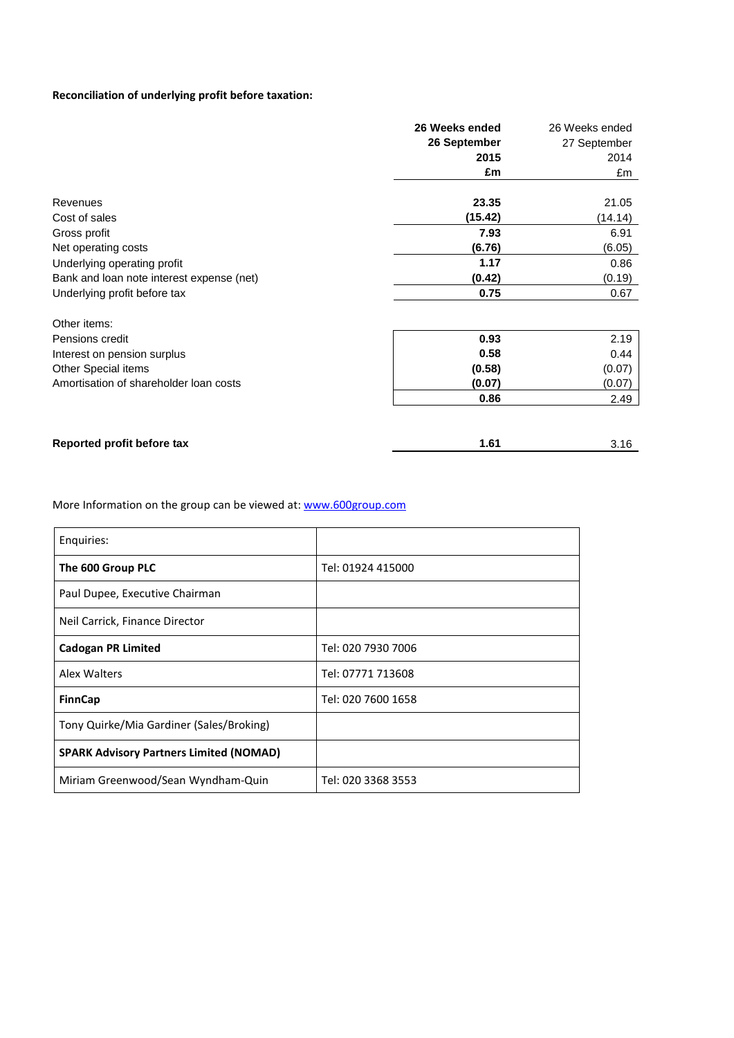# **Reconciliation of underlying profit before taxation:**

|                                           | 26 Weeks ended | 26 Weeks ended |
|-------------------------------------------|----------------|----------------|
|                                           | 26 September   | 27 September   |
|                                           | 2015           | 2014           |
|                                           | £m             | £m             |
| Revenues                                  | 23.35          | 21.05          |
| Cost of sales                             | (15.42)        | (14.14)        |
| Gross profit                              | 7.93           | 6.91           |
| Net operating costs                       | (6.76)         | (6.05)         |
| Underlying operating profit               | 1.17           | 0.86           |
| Bank and loan note interest expense (net) | (0.42)         | (0.19)         |
| Underlying profit before tax              | 0.75           | 0.67           |
| Other items:                              |                |                |
| Pensions credit                           | 0.93           | 2.19           |
| Interest on pension surplus               | 0.58           | 0.44           |
| Other Special items                       | (0.58)         | (0.07)         |
| Amortisation of shareholder loan costs    | (0.07)         | (0.07)         |
|                                           | 0.86           | 2.49           |
| Reported profit before tax                | 1.61           | 3.16           |

More Information on the group can be viewed at: [www.600group.com](http://www.600group.com/)

| Enquiries:                                     |                    |
|------------------------------------------------|--------------------|
| The 600 Group PLC                              | Tel: 01924 415000  |
| Paul Dupee, Executive Chairman                 |                    |
| Neil Carrick, Finance Director                 |                    |
| <b>Cadogan PR Limited</b>                      | Tel: 020 7930 7006 |
| Alex Walters                                   | Tel: 07771 713608  |
| <b>FinnCap</b>                                 | Tel: 020 7600 1658 |
| Tony Quirke/Mia Gardiner (Sales/Broking)       |                    |
| <b>SPARK Advisory Partners Limited (NOMAD)</b> |                    |
| Miriam Greenwood/Sean Wyndham-Quin             | Tel: 020 3368 3553 |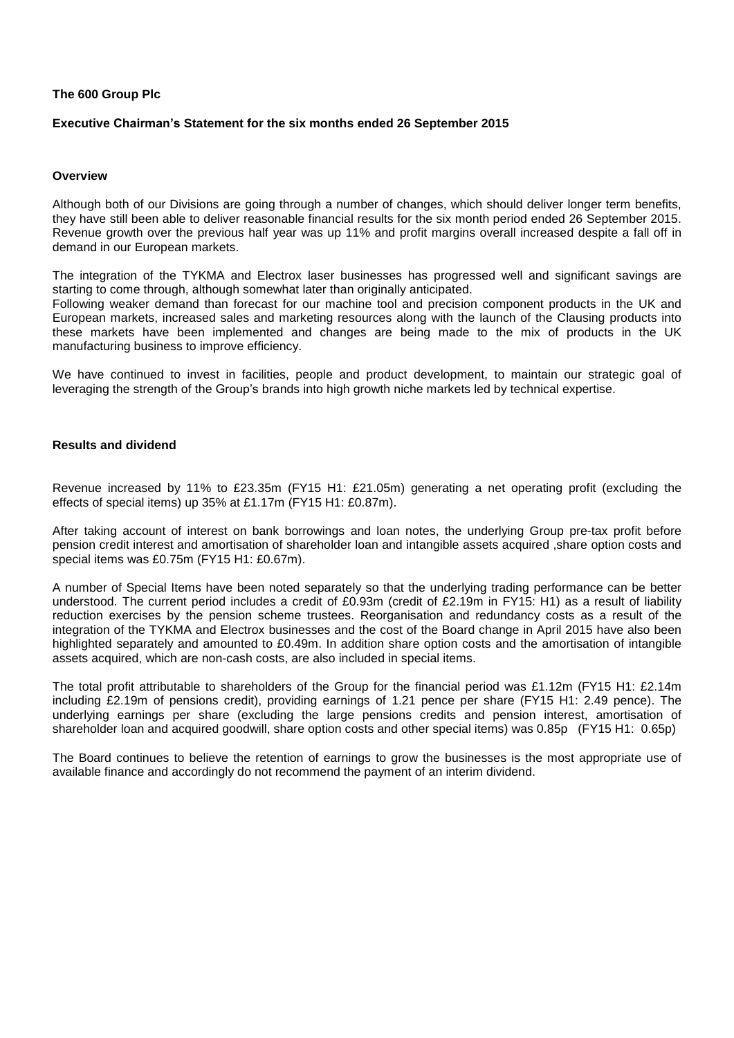### **The 600 Group Plc**

### **Executive Chairman's Statement for the six months ended 26 September 2015**

### **Overview**

Although both of our Divisions are going through a number of changes, which should deliver longer term benefits, they have still been able to deliver reasonable financial results for the six month period ended 26 September 2015. Revenue growth over the previous half year was up 11% and profit margins overall increased despite a fall off in demand in our European markets.

The integration of the TYKMA and Electrox laser businesses has progressed well and significant savings are starting to come through, although somewhat later than originally anticipated.

Following weaker demand than forecast for our machine tool and precision component products in the UK and European markets, increased sales and marketing resources along with the launch of the Clausing products into these markets have been implemented and changes are being made to the mix of products in the UK manufacturing business to improve efficiency.

We have continued to invest in facilities, people and product development, to maintain our strategic goal of leveraging the strength of the Group's brands into high growth niche markets led by technical expertise.

### **Results and dividend**

Revenue increased by 11% to £23.35m (FY15 H1: £21.05m) generating a net operating profit (excluding the effects of special items) up 35% at £1.17m (FY15 H1: £0.87m).

After taking account of interest on bank borrowings and loan notes, the underlying Group pre-tax profit before pension credit interest and amortisation of shareholder loan and intangible assets acquired ,share option costs and special items was £0.75m (FY15 H1: £0.67m).

A number of Special Items have been noted separately so that the underlying trading performance can be better understood. The current period includes a credit of £0.93m (credit of £2.19m in FY15: H1) as a result of liability reduction exercises by the pension scheme trustees. Reorganisation and redundancy costs as a result of the integration of the TYKMA and Electrox businesses and the cost of the Board change in April 2015 have also been highlighted separately and amounted to £0.49m. In addition share option costs and the amortisation of intangible assets acquired, which are non-cash costs, are also included in special items.

The total profit attributable to shareholders of the Group for the financial period was £1.12m (FY15 H1: £2.14m including £2.19m of pensions credit), providing earnings of 1.21 pence per share (FY15 H1: 2.49 pence). The underlying earnings per share (excluding the large pensions credits and pension interest, amortisation of shareholder loan and acquired goodwill, share option costs and other special items) was 0.85p (FY15 H1: 0.65p)

The Board continues to believe the retention of earnings to grow the businesses is the most appropriate use of available finance and accordingly do not recommend the payment of an interim dividend.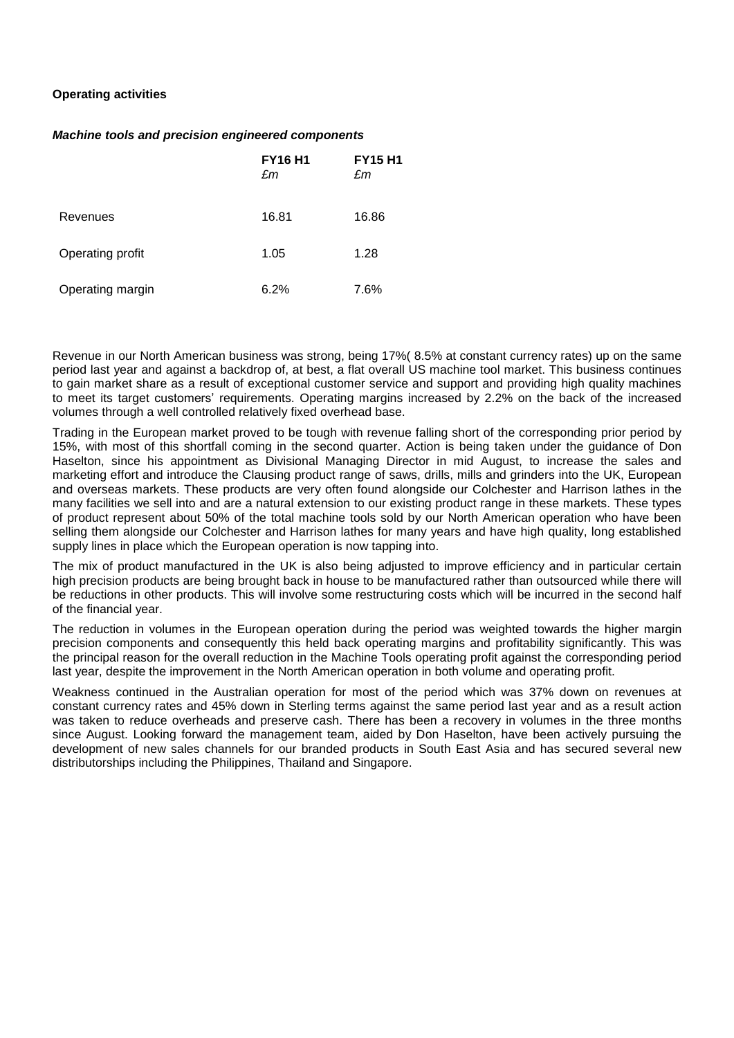### **Operating activities**

### *Machine tools and precision engineered components*

|                  | <b>FY16 H1</b><br>£m | <b>FY15 H1</b><br>£m |
|------------------|----------------------|----------------------|
| <b>Revenues</b>  | 16.81                | 16.86                |
| Operating profit | 1.05                 | 1.28                 |
| Operating margin | 6.2%                 | 7.6%                 |

Revenue in our North American business was strong, being 17%( 8.5% at constant currency rates) up on the same period last year and against a backdrop of, at best, a flat overall US machine tool market. This business continues to gain market share as a result of exceptional customer service and support and providing high quality machines to meet its target customers' requirements. Operating margins increased by 2.2% on the back of the increased volumes through a well controlled relatively fixed overhead base.

Trading in the European market proved to be tough with revenue falling short of the corresponding prior period by 15%, with most of this shortfall coming in the second quarter. Action is being taken under the guidance of Don Haselton, since his appointment as Divisional Managing Director in mid August, to increase the sales and marketing effort and introduce the Clausing product range of saws, drills, mills and grinders into the UK, European and overseas markets. These products are very often found alongside our Colchester and Harrison lathes in the many facilities we sell into and are a natural extension to our existing product range in these markets. These types of product represent about 50% of the total machine tools sold by our North American operation who have been selling them alongside our Colchester and Harrison lathes for many years and have high quality, long established supply lines in place which the European operation is now tapping into.

The mix of product manufactured in the UK is also being adjusted to improve efficiency and in particular certain high precision products are being brought back in house to be manufactured rather than outsourced while there will be reductions in other products. This will involve some restructuring costs which will be incurred in the second half of the financial year.

The reduction in volumes in the European operation during the period was weighted towards the higher margin precision components and consequently this held back operating margins and profitability significantly. This was the principal reason for the overall reduction in the Machine Tools operating profit against the corresponding period last year, despite the improvement in the North American operation in both volume and operating profit.

Weakness continued in the Australian operation for most of the period which was 37% down on revenues at constant currency rates and 45% down in Sterling terms against the same period last year and as a result action was taken to reduce overheads and preserve cash. There has been a recovery in volumes in the three months since August. Looking forward the management team, aided by Don Haselton, have been actively pursuing the development of new sales channels for our branded products in South East Asia and has secured several new distributorships including the Philippines, Thailand and Singapore.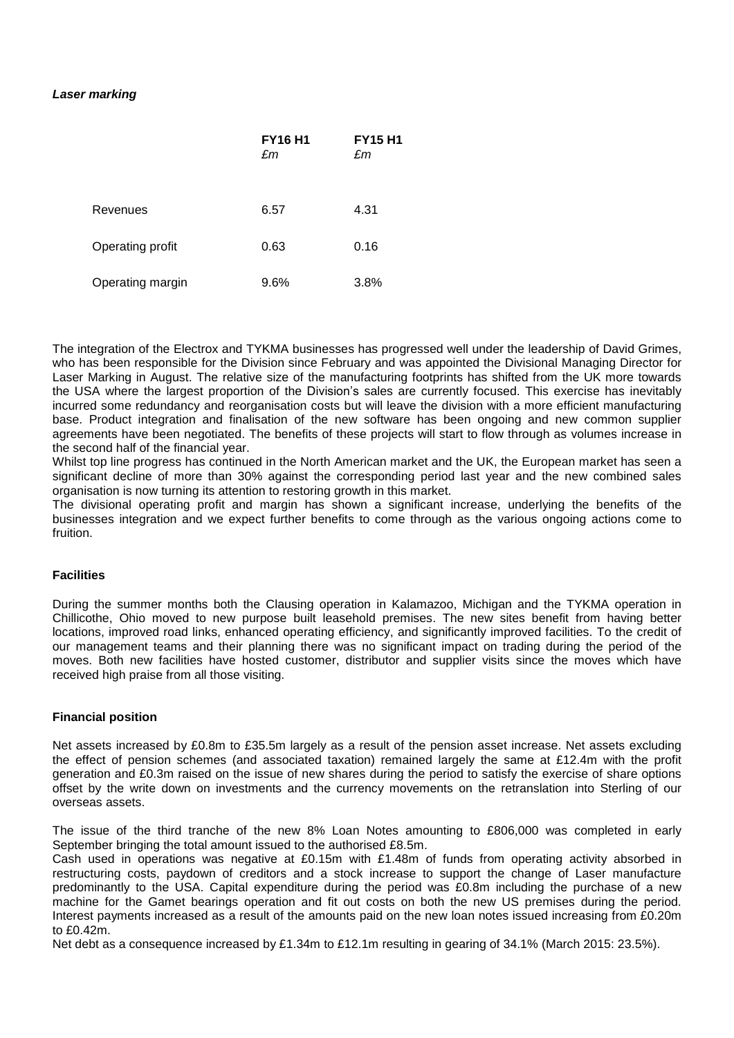### *Laser marking*

|                  | <b>FY16 H1</b><br>£m | <b>FY15 H1</b><br>£m |
|------------------|----------------------|----------------------|
| Revenues         | 6.57                 | 4.31                 |
| Operating profit | 0.63                 | 0.16                 |
| Operating margin | 9.6%                 | 3.8%                 |

The integration of the Electrox and TYKMA businesses has progressed well under the leadership of David Grimes, who has been responsible for the Division since February and was appointed the Divisional Managing Director for Laser Marking in August. The relative size of the manufacturing footprints has shifted from the UK more towards the USA where the largest proportion of the Division's sales are currently focused. This exercise has inevitably incurred some redundancy and reorganisation costs but will leave the division with a more efficient manufacturing base. Product integration and finalisation of the new software has been ongoing and new common supplier agreements have been negotiated. The benefits of these projects will start to flow through as volumes increase in the second half of the financial year.

Whilst top line progress has continued in the North American market and the UK, the European market has seen a significant decline of more than 30% against the corresponding period last year and the new combined sales organisation is now turning its attention to restoring growth in this market.

The divisional operating profit and margin has shown a significant increase, underlying the benefits of the businesses integration and we expect further benefits to come through as the various ongoing actions come to fruition.

### **Facilities**

During the summer months both the Clausing operation in Kalamazoo, Michigan and the TYKMA operation in Chillicothe, Ohio moved to new purpose built leasehold premises. The new sites benefit from having better locations, improved road links, enhanced operating efficiency, and significantly improved facilities. To the credit of our management teams and their planning there was no significant impact on trading during the period of the moves. Both new facilities have hosted customer, distributor and supplier visits since the moves which have received high praise from all those visiting.

### **Financial position**

Net assets increased by £0.8m to £35.5m largely as a result of the pension asset increase. Net assets excluding the effect of pension schemes (and associated taxation) remained largely the same at £12.4m with the profit generation and £0.3m raised on the issue of new shares during the period to satisfy the exercise of share options offset by the write down on investments and the currency movements on the retranslation into Sterling of our overseas assets.

The issue of the third tranche of the new 8% Loan Notes amounting to £806,000 was completed in early September bringing the total amount issued to the authorised £8.5m.

Cash used in operations was negative at £0.15m with £1.48m of funds from operating activity absorbed in restructuring costs, paydown of creditors and a stock increase to support the change of Laser manufacture predominantly to the USA. Capital expenditure during the period was £0.8m including the purchase of a new machine for the Gamet bearings operation and fit out costs on both the new US premises during the period. Interest payments increased as a result of the amounts paid on the new loan notes issued increasing from £0.20m to £0.42m.

Net debt as a consequence increased by £1.34m to £12.1m resulting in gearing of 34.1% (March 2015: 23.5%).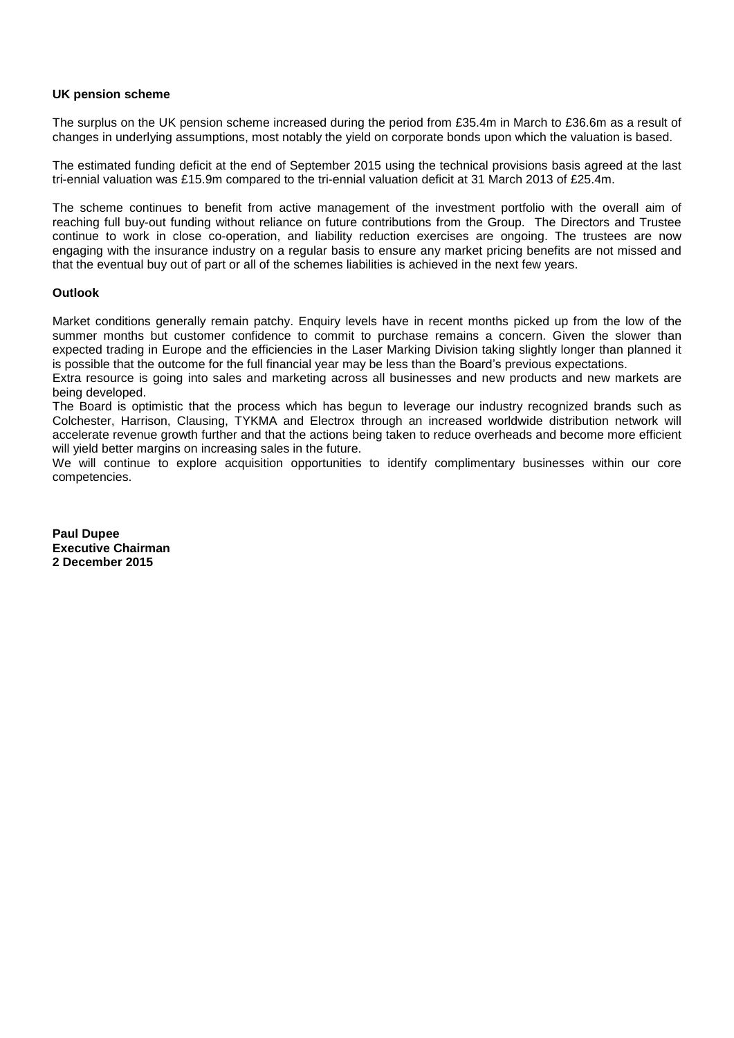### **UK pension scheme**

The surplus on the UK pension scheme increased during the period from £35.4m in March to £36.6m as a result of changes in underlying assumptions, most notably the yield on corporate bonds upon which the valuation is based.

The estimated funding deficit at the end of September 2015 using the technical provisions basis agreed at the last tri-ennial valuation was £15.9m compared to the tri-ennial valuation deficit at 31 March 2013 of £25.4m.

The scheme continues to benefit from active management of the investment portfolio with the overall aim of reaching full buy-out funding without reliance on future contributions from the Group. The Directors and Trustee continue to work in close co-operation, and liability reduction exercises are ongoing. The trustees are now engaging with the insurance industry on a regular basis to ensure any market pricing benefits are not missed and that the eventual buy out of part or all of the schemes liabilities is achieved in the next few years.

### **Outlook**

Market conditions generally remain patchy. Enquiry levels have in recent months picked up from the low of the summer months but customer confidence to commit to purchase remains a concern. Given the slower than expected trading in Europe and the efficiencies in the Laser Marking Division taking slightly longer than planned it is possible that the outcome for the full financial year may be less than the Board's previous expectations.

Extra resource is going into sales and marketing across all businesses and new products and new markets are being developed.

The Board is optimistic that the process which has begun to leverage our industry recognized brands such as Colchester, Harrison, Clausing, TYKMA and Electrox through an increased worldwide distribution network will accelerate revenue growth further and that the actions being taken to reduce overheads and become more efficient will yield better margins on increasing sales in the future.

We will continue to explore acquisition opportunities to identify complimentary businesses within our core competencies.

**Paul Dupee Executive Chairman 2 December 2015**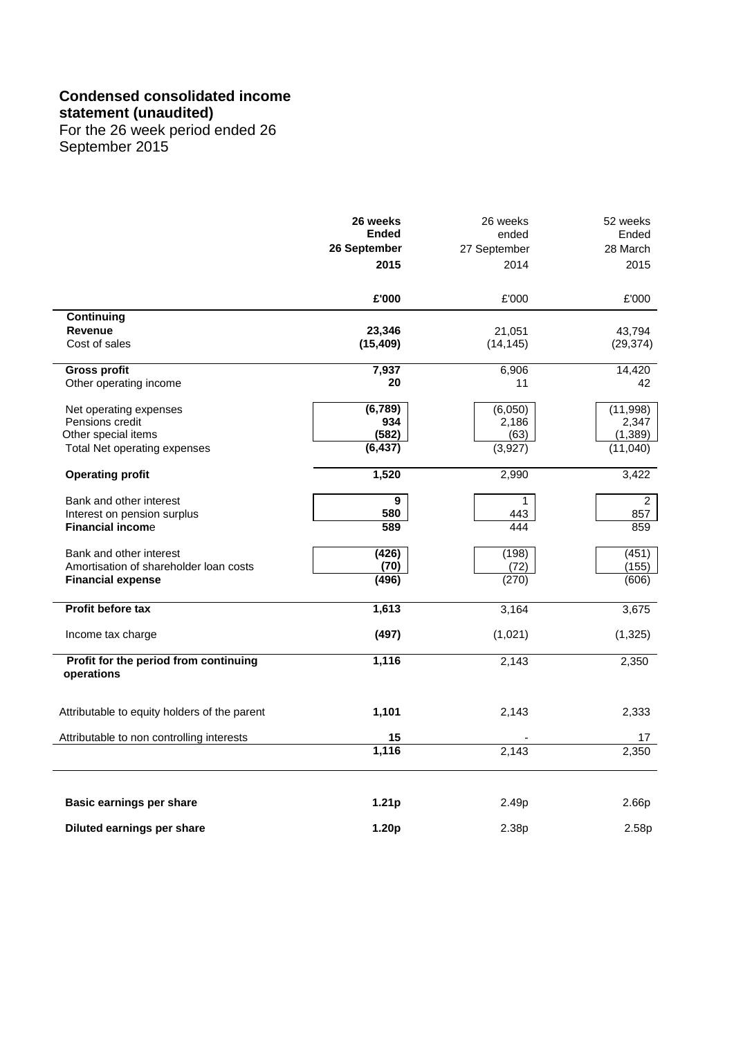# **Condensed consolidated income**

**statement (unaudited)**

For the 26 week period ended 26 September 2015

|                                                                    | 26 weeks<br><b>Ended</b><br>26 September<br>2015 | 26 weeks<br>ended<br>27 September<br>2014 | 52 weeks<br>Ended<br>28 March<br>2015 |
|--------------------------------------------------------------------|--------------------------------------------------|-------------------------------------------|---------------------------------------|
|                                                                    | £'000                                            | £'000                                     | £'000                                 |
| Continuing                                                         |                                                  |                                           |                                       |
| <b>Revenue</b><br>Cost of sales                                    | 23,346<br>(15, 409)                              | 21,051<br>(14, 145)                       | 43,794<br>(29, 374)                   |
| <b>Gross profit</b>                                                | 7,937                                            | 6,906                                     | 14,420                                |
| Other operating income                                             | 20                                               | 11                                        | 42                                    |
| Net operating expenses<br>Pensions credit                          | (6, 789)<br>934                                  | (6,050)<br>2,186                          | (11,998)<br>2,347                     |
| Other special items                                                | (582)                                            | (63)                                      | (1, 389)                              |
| Total Net operating expenses                                       | (6, 437)                                         | (3,927)                                   | (11,040)                              |
| <b>Operating profit</b>                                            | 1,520                                            | 2,990                                     | 3,422                                 |
| Bank and other interest                                            | 9                                                | 1                                         | $\overline{2}$                        |
| Interest on pension surplus                                        | 580                                              | 443                                       | 857                                   |
| <b>Financial income</b>                                            | 589                                              | 444                                       | 859                                   |
| Bank and other interest                                            | (426)                                            | (198)                                     | (451)                                 |
| Amortisation of shareholder loan costs<br><b>Financial expense</b> | (70)<br>(496)                                    | (72)<br>(270)                             | (155)<br>(606)                        |
| Profit before tax                                                  | 1,613                                            | 3,164                                     | 3,675                                 |
|                                                                    |                                                  |                                           |                                       |
| Income tax charge                                                  | (497)                                            | (1,021)                                   | (1, 325)                              |
| Profit for the period from continuing<br>operations                | 1,116                                            | 2,143                                     | 2,350                                 |
| Attributable to equity holders of the parent                       | 1,101                                            | 2,143                                     | 2,333                                 |
| Attributable to non controlling interests                          | 15                                               |                                           | 17                                    |
|                                                                    | 1,116                                            | 2,143                                     | 2,350                                 |
| <b>Basic earnings per share</b>                                    | 1.21 <sub>p</sub>                                | 2.49p                                     | 2.66p                                 |
| Diluted earnings per share                                         | 1.20p                                            |                                           |                                       |
|                                                                    |                                                  | 2.38p                                     | 2.58p                                 |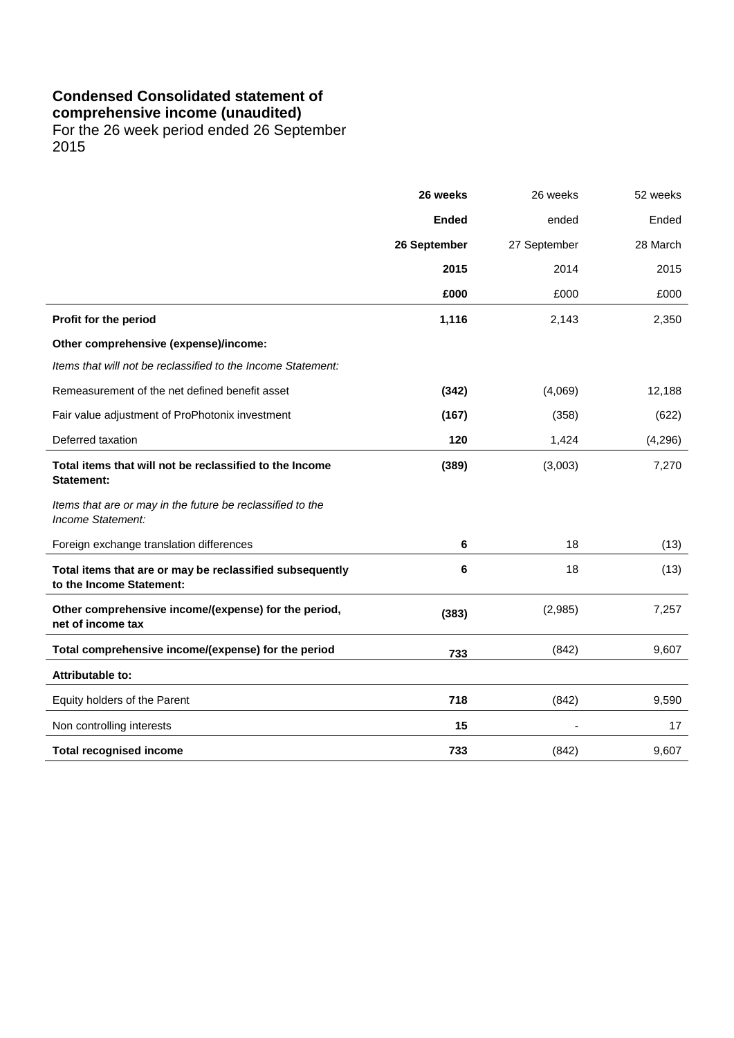# **Condensed Consolidated statement of**

**comprehensive income (unaudited)**

For the 26 week period ended 26 September 2015

|                                                                                      | 26 weeks     | 26 weeks     | 52 weeks |
|--------------------------------------------------------------------------------------|--------------|--------------|----------|
|                                                                                      | <b>Ended</b> | ended        | Ended    |
|                                                                                      | 26 September | 27 September | 28 March |
|                                                                                      | 2015         | 2014         | 2015     |
|                                                                                      | £000         | £000         | £000     |
| Profit for the period                                                                | 1,116        | 2,143        | 2,350    |
| Other comprehensive (expense)/income:                                                |              |              |          |
| Items that will not be reclassified to the Income Statement:                         |              |              |          |
| Remeasurement of the net defined benefit asset                                       | (342)        | (4,069)      | 12,188   |
| Fair value adjustment of ProPhotonix investment                                      | (167)        | (358)        | (622)    |
| Deferred taxation                                                                    | 120          | 1,424        | (4,296)  |
| Total items that will not be reclassified to the Income<br><b>Statement:</b>         | (389)        | (3,003)      | 7,270    |
| Items that are or may in the future be reclassified to the<br>Income Statement:      |              |              |          |
| Foreign exchange translation differences                                             | 6            | 18           | (13)     |
| Total items that are or may be reclassified subsequently<br>to the Income Statement: | 6            | 18           | (13)     |
| Other comprehensive income/(expense) for the period,<br>net of income tax            | (383)        | (2,985)      | 7,257    |
| Total comprehensive income/(expense) for the period                                  | 733          | (842)        | 9,607    |
| <b>Attributable to:</b>                                                              |              |              |          |
| Equity holders of the Parent                                                         | 718          | (842)        | 9,590    |
| Non controlling interests                                                            | 15           |              | 17       |
| <b>Total recognised income</b>                                                       | 733          | (842)        | 9,607    |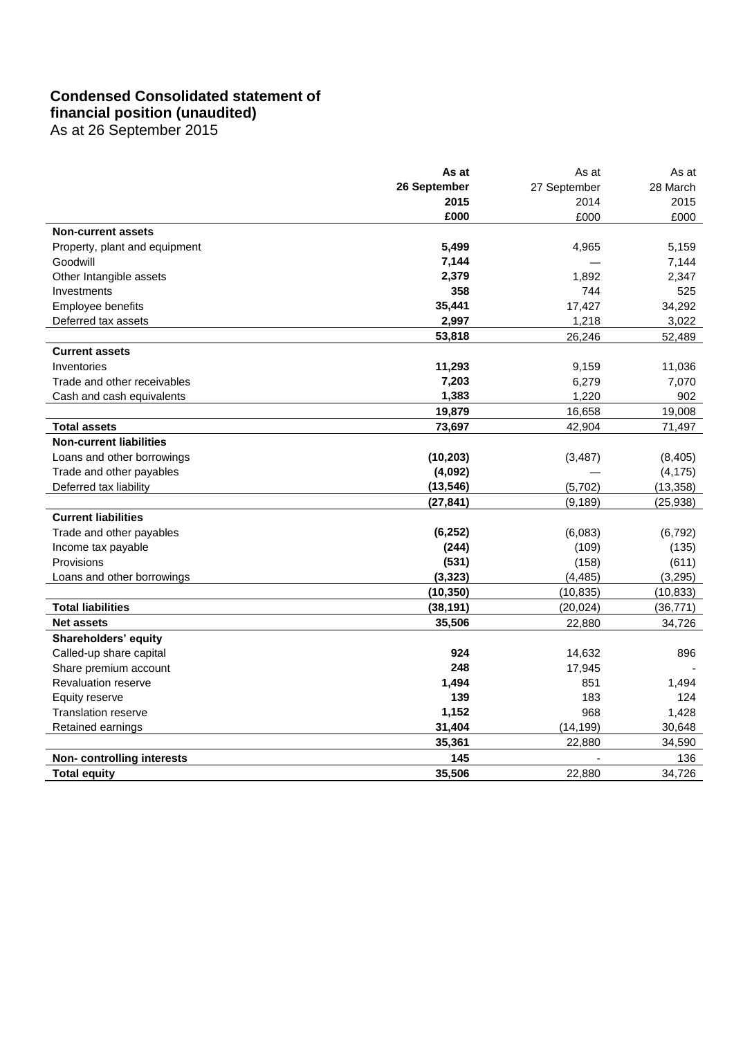# **Condensed Consolidated statement of**

**financial position (unaudited)** As at 26 September 2015

|                                | As at        | As at        | As at     |
|--------------------------------|--------------|--------------|-----------|
|                                | 26 September | 27 September | 28 March  |
|                                | 2015         | 2014         | 2015      |
|                                | £000         | £000         | £000      |
| <b>Non-current assets</b>      |              |              |           |
| Property, plant and equipment  | 5,499        | 4,965        | 5,159     |
| Goodwill                       | 7,144        |              | 7,144     |
| Other Intangible assets        | 2,379        | 1,892        | 2,347     |
| Investments                    | 358          | 744          | 525       |
| Employee benefits              | 35,441       | 17,427       | 34,292    |
| Deferred tax assets            | 2,997        | 1,218        | 3,022     |
|                                | 53,818       | 26,246       | 52,489    |
| <b>Current assets</b>          |              |              |           |
| Inventories                    | 11,293       | 9,159        | 11,036    |
| Trade and other receivables    | 7,203        | 6,279        | 7,070     |
| Cash and cash equivalents      | 1,383        | 1,220        | 902       |
|                                | 19,879       | 16,658       | 19,008    |
| <b>Total assets</b>            | 73,697       | 42,904       | 71,497    |
| <b>Non-current liabilities</b> |              |              |           |
| Loans and other borrowings     | (10, 203)    | (3, 487)     | (8, 405)  |
| Trade and other payables       | (4,092)      |              | (4, 175)  |
| Deferred tax liability         | (13, 546)    | (5,702)      | (13, 358) |
|                                | (27, 841)    | (9, 189)     | (25, 938) |
| <b>Current liabilities</b>     |              |              |           |
| Trade and other payables       | (6, 252)     | (6,083)      | (6, 792)  |
| Income tax payable             | (244)        | (109)        | (135)     |
| Provisions                     | (531)        | (158)        | (611)     |
| Loans and other borrowings     | (3, 323)     | (4, 485)     | (3, 295)  |
|                                | (10, 350)    | (10, 835)    | (10, 833) |
| <b>Total liabilities</b>       | (38, 191)    | (20, 024)    | (36, 771) |
| <b>Net assets</b>              | 35,506       | 22,880       | 34,726    |
| Shareholders' equity           |              |              |           |
| Called-up share capital        | 924          | 14,632       | 896       |
| Share premium account          | 248          | 17,945       |           |
| <b>Revaluation reserve</b>     | 1,494        | 851          | 1,494     |
| Equity reserve                 | 139          | 183          | 124       |
| Translation reserve            | 1,152        | 968          | 1,428     |
| Retained earnings              | 31,404       | (14, 199)    | 30,648    |
|                                | 35,361       | 22,880       | 34,590    |
| Non-controlling interests      | 145          |              | 136       |
| <b>Total equity</b>            | 35,506       | 22,880       | 34,726    |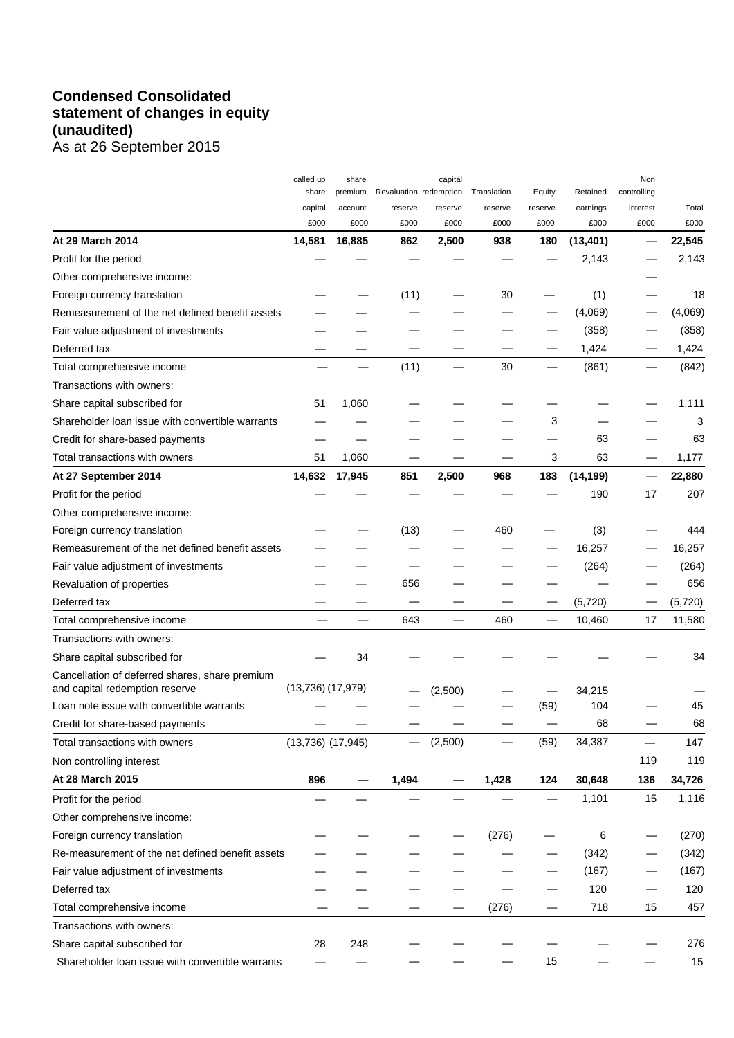# **Condensed Consolidated statement of changes in equity (unaudited)** As at 26 September 2015

|                                                                                  | called up             | share          |                        | capital       |             |                          |                   | Non         |                |
|----------------------------------------------------------------------------------|-----------------------|----------------|------------------------|---------------|-------------|--------------------------|-------------------|-------------|----------------|
|                                                                                  | share                 | premium        | Revaluation redemption |               | Translation | Equity                   | Retained          | controlling |                |
|                                                                                  | capital               | account        | reserve                | reserve       | reserve     | reserve                  | earnings          | interest    | Total          |
| At 29 March 2014                                                                 | £000<br>14,581        | £000<br>16,885 | £000<br>862            | £000<br>2,500 | £000<br>938 | £000<br>180              | £000<br>(13, 401) | £000        | £000<br>22,545 |
| Profit for the period                                                            |                       |                |                        |               |             |                          | 2,143             |             | 2,143          |
| Other comprehensive income:                                                      |                       |                |                        |               |             |                          |                   |             |                |
| Foreign currency translation                                                     |                       |                | (11)                   |               | 30          |                          | (1)               |             | 18             |
| Remeasurement of the net defined benefit assets                                  |                       |                |                        |               |             |                          | (4,069)           |             | (4,069)        |
| Fair value adjustment of investments                                             |                       |                |                        |               |             |                          | (358)             |             | (358)          |
| Deferred tax                                                                     |                       |                |                        |               |             |                          | 1,424             |             | 1,424          |
|                                                                                  |                       |                | (11)                   |               | 30          | $\overline{\phantom{0}}$ |                   |             | (842)          |
| Total comprehensive income                                                       |                       |                |                        |               |             |                          | (861)             |             |                |
| Transactions with owners:                                                        |                       |                |                        |               |             |                          |                   |             |                |
| Share capital subscribed for                                                     | 51                    | 1,060          |                        |               |             |                          |                   |             | 1,111          |
| Shareholder loan issue with convertible warrants                                 |                       |                |                        |               |             | 3                        |                   |             | 3              |
| Credit for share-based payments                                                  |                       |                |                        |               |             |                          | 63                |             | 63             |
| Total transactions with owners                                                   | 51                    | 1,060          |                        |               |             | 3                        | 63                | —           | 1,177          |
| At 27 September 2014                                                             | 14,632                | 17,945         | 851                    | 2,500         | 968         | 183                      | (14, 199)         |             | 22,880         |
| Profit for the period                                                            |                       |                |                        |               |             |                          | 190               | 17          | 207            |
| Other comprehensive income:                                                      |                       |                |                        |               |             |                          |                   |             |                |
| Foreign currency translation                                                     |                       |                | (13)                   |               | 460         |                          | (3)               |             | 444            |
| Remeasurement of the net defined benefit assets                                  |                       |                |                        |               |             |                          | 16,257            |             | 16,257         |
| Fair value adjustment of investments                                             |                       |                |                        |               |             |                          | (264)             |             | (264)          |
| Revaluation of properties                                                        |                       |                | 656                    |               |             |                          |                   |             | 656            |
| Deferred tax                                                                     |                       |                |                        |               |             |                          | (5, 720)          |             | (5, 720)       |
| Total comprehensive income                                                       |                       |                | 643                    |               | 460         |                          | 10,460            | 17          | 11,580         |
| Transactions with owners:                                                        |                       |                |                        |               |             |                          |                   |             |                |
| Share capital subscribed for                                                     |                       | 34             |                        |               |             |                          |                   |             | 34             |
| Cancellation of deferred shares, share premium<br>and capital redemption reserve | (13,736)(17,979)      |                |                        | (2,500)       |             |                          | 34,215            |             |                |
| Loan note issue with convertible warrants                                        |                       |                |                        |               |             | (59)                     | 104               |             | 45             |
| Credit for share-based payments                                                  |                       |                |                        |               |             |                          | 68                |             | 68             |
| Total transactions with owners                                                   | $(13,736)$ $(17,945)$ |                |                        | (2,500)       |             | (59)                     | 34,387            |             | 147            |
| Non controlling interest                                                         |                       |                |                        |               |             |                          |                   | 119         | 119            |
| At 28 March 2015                                                                 | 896                   |                | 1,494                  | —             | 1,428       | 124                      | 30,648            | 136         | 34,726         |
| Profit for the period                                                            |                       |                |                        |               |             |                          | 1,101             | 15          | 1,116          |
| Other comprehensive income:                                                      |                       |                |                        |               |             |                          |                   |             |                |
| Foreign currency translation                                                     |                       |                |                        |               | (276)       |                          | 6                 |             | (270)          |
| Re-measurement of the net defined benefit assets                                 |                       |                |                        |               |             |                          | (342)             |             | (342)          |
| Fair value adjustment of investments                                             |                       |                |                        |               |             |                          | (167)             |             | (167)          |
| Deferred tax                                                                     |                       |                |                        |               |             |                          | 120               |             | 120            |
| Total comprehensive income                                                       |                       |                |                        |               | (276)       |                          | 718               | 15          | 457            |
| Transactions with owners:                                                        |                       |                |                        |               |             |                          |                   |             |                |
| Share capital subscribed for                                                     | 28                    | 248            |                        |               |             |                          |                   |             | 276            |
| Shareholder loan issue with convertible warrants                                 |                       |                |                        |               |             | 15                       |                   |             | 15             |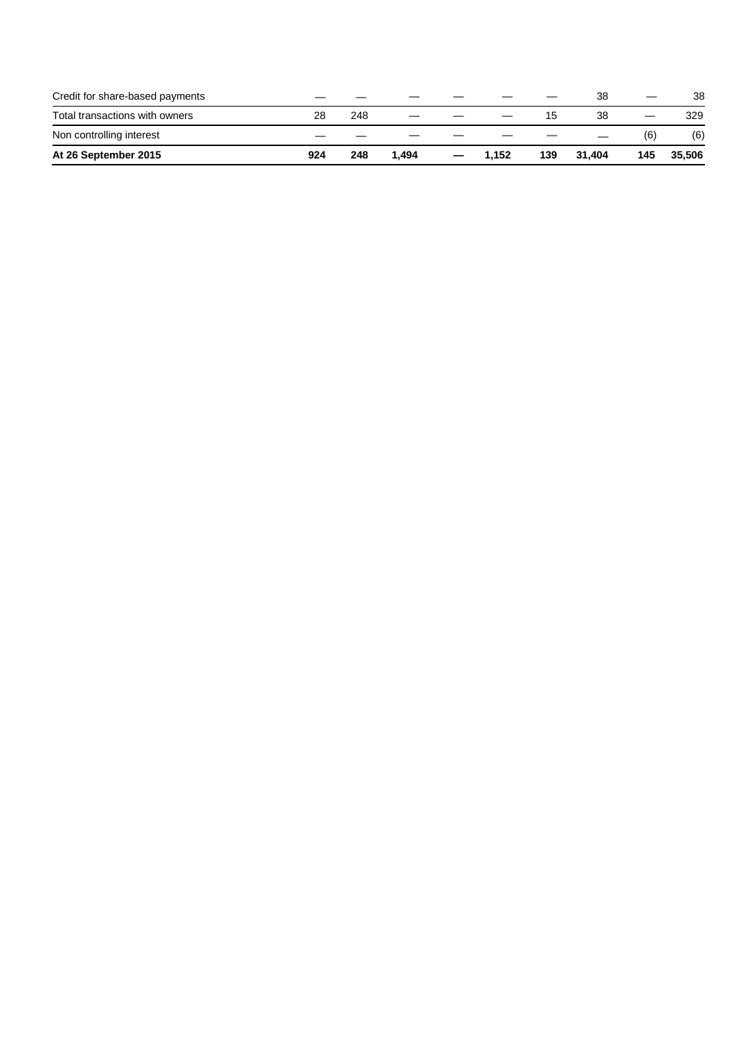| Credit for share-based payments |     |     |       |   |       |     | 38     | —   | 38     |
|---------------------------------|-----|-----|-------|---|-------|-----|--------|-----|--------|
| Total transactions with owners  | 28  | 248 |       |   |       |     | 38     |     | 329    |
| Non controlling interest        |     |     |       |   |       |     |        | (6) | (6)    |
| At 26 September 2015            | 924 | 248 | 1.494 | – | 1.152 | 139 | 31.404 | 145 | 35,506 |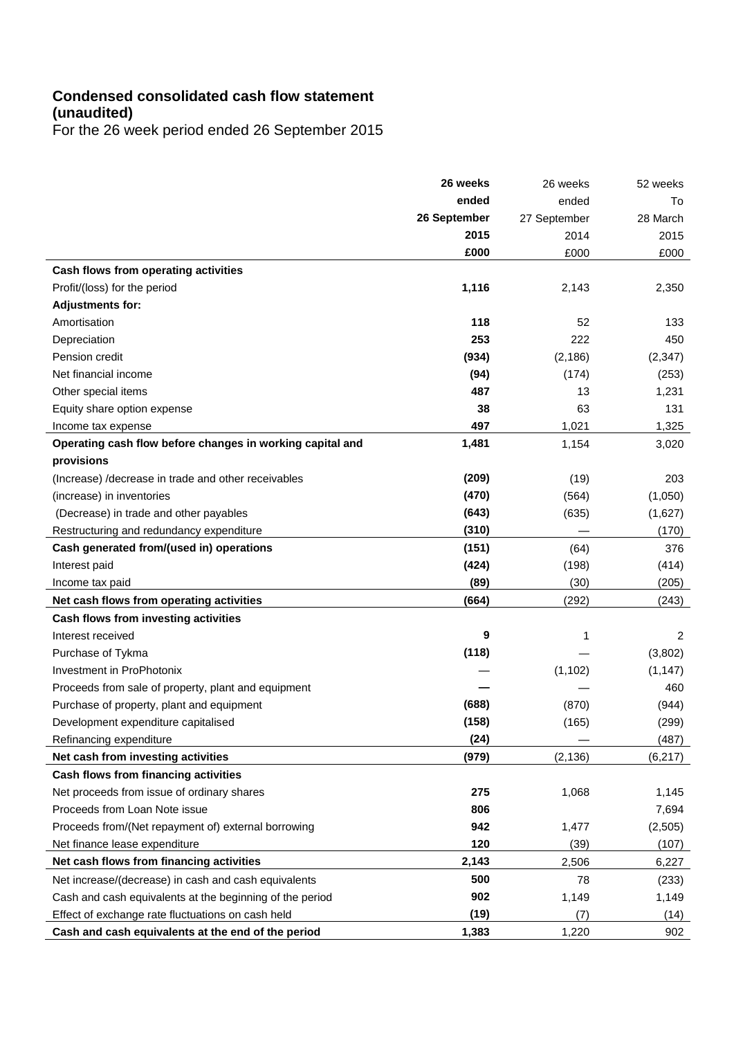# **Condensed consolidated cash flow statement (unaudited)**

For the 26 week period ended 26 September 2015

|                                                           | 26 weeks     | 26 weeks     | 52 weeks |
|-----------------------------------------------------------|--------------|--------------|----------|
|                                                           | ended        | ended        | To       |
|                                                           | 26 September | 27 September | 28 March |
|                                                           | 2015         | 2014         | 2015     |
|                                                           | £000         | £000         | £000     |
| Cash flows from operating activities                      |              |              |          |
| Profit/(loss) for the period                              | 1,116        | 2,143        | 2,350    |
| <b>Adjustments for:</b>                                   |              |              |          |
| Amortisation                                              | 118          | 52           | 133      |
| Depreciation                                              | 253          | 222          | 450      |
| Pension credit                                            | (934)        | (2, 186)     | (2, 347) |
| Net financial income                                      | (94)         | (174)        | (253)    |
| Other special items                                       | 487          | 13           | 1,231    |
| Equity share option expense                               | 38           | 63           | 131      |
| Income tax expense                                        | 497          | 1,021        | 1,325    |
| Operating cash flow before changes in working capital and | 1,481        | 1,154        | 3,020    |
| provisions                                                |              |              |          |
| (Increase) / decrease in trade and other receivables      | (209)        | (19)         | 203      |
| (increase) in inventories                                 | (470)        | (564)        | (1,050)  |
| (Decrease) in trade and other payables                    | (643)        | (635)        | (1,627)  |
| Restructuring and redundancy expenditure                  | (310)        |              | (170)    |
| Cash generated from/(used in) operations                  | (151)        | (64)         | 376      |
| Interest paid                                             | (424)        | (198)        | (414)    |
| Income tax paid                                           | (89)         | (30)         | (205)    |
| Net cash flows from operating activities                  | (664)        | (292)        | (243)    |
| Cash flows from investing activities                      |              |              |          |
| Interest received                                         | 9            | 1            | 2        |
| Purchase of Tykma                                         | (118)        |              | (3,802)  |
| Investment in ProPhotonix                                 |              | (1, 102)     | (1, 147) |
| Proceeds from sale of property, plant and equipment       |              |              | 460      |
| Purchase of property, plant and equipment                 | (688)        | (870)        | (944)    |
| Development expenditure capitalised                       | (158)        | (165)        | (299)    |
| Refinancing expenditure                                   | (24)         |              | (487)    |
| Net cash from investing activities                        | (979)        | (2, 136)     | (6, 217) |
| Cash flows from financing activities                      |              |              |          |
| Net proceeds from issue of ordinary shares                | 275          | 1,068        | 1,145    |
| Proceeds from Loan Note issue                             | 806          |              | 7,694    |
| Proceeds from/(Net repayment of) external borrowing       | 942          | 1,477        | (2,505)  |
| Net finance lease expenditure                             | 120          | (39)         | (107)    |
| Net cash flows from financing activities                  | 2,143        | 2,506        | 6,227    |
| Net increase/(decrease) in cash and cash equivalents      | 500          | 78           | (233)    |
| Cash and cash equivalents at the beginning of the period  | 902          | 1,149        | 1,149    |
| Effect of exchange rate fluctuations on cash held         | (19)         | (7)          | (14)     |
| Cash and cash equivalents at the end of the period        | 1,383        | 1,220        | 902      |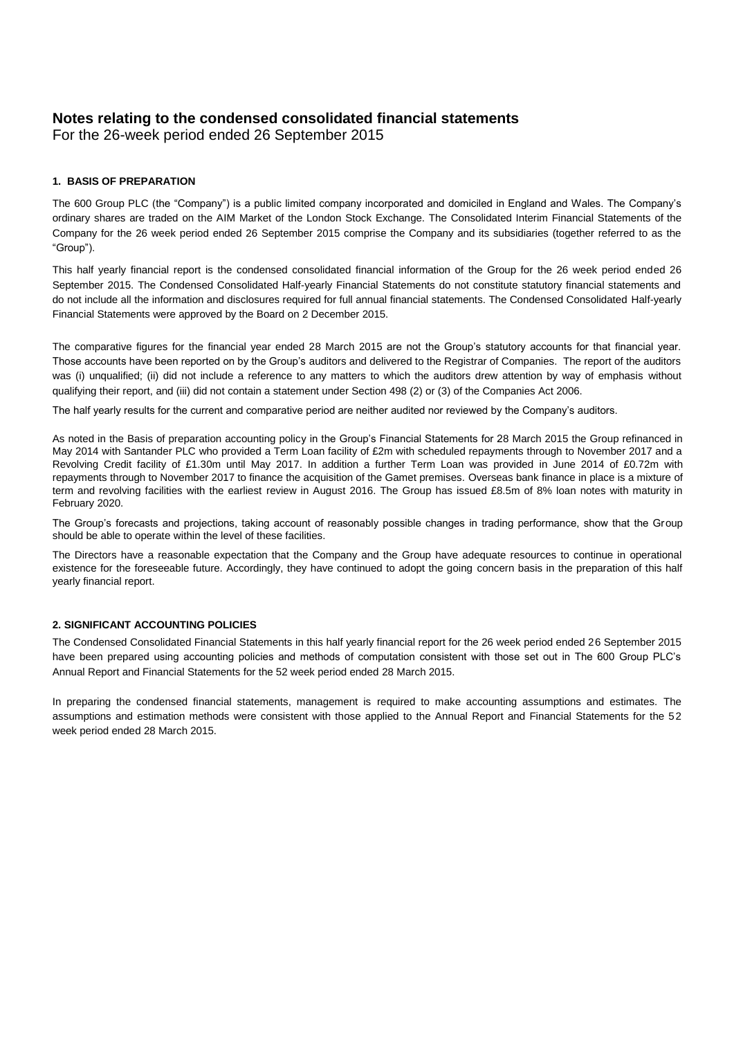# **Notes relating to the condensed consolidated financial statements**

For the 26-week period ended 26 September 2015

### **1. BASIS OF PREPARATION**

The 600 Group PLC (the "Company") is a public limited company incorporated and domiciled in England and Wales. The Company's ordinary shares are traded on the AIM Market of the London Stock Exchange. The Consolidated Interim Financial Statements of the Company for the 26 week period ended 26 September 2015 comprise the Company and its subsidiaries (together referred to as the ―Group‖).

This half yearly financial report is the condensed consolidated financial information of the Group for the 26 week period ended 26 September 2015. The Condensed Consolidated Half-yearly Financial Statements do not constitute statutory financial statements and do not include all the information and disclosures required for full annual financial statements. The Condensed Consolidated Half-yearly Financial Statements were approved by the Board on 2 December 2015.

The comparative figures for the financial year ended 28 March 2015 are not the Group's statutory accounts for that financial year. Those accounts have been reported on by the Group's auditors and delivered to the Registrar of Companies. The report of the auditors was (i) unqualified; (ii) did not include a reference to any matters to which the auditors drew attention by way of emphasis without qualifying their report, and (iii) did not contain a statement under Section 498 (2) or (3) of the Companies Act 2006.

The half yearly results for the current and comparative period are neither audited nor reviewed by the Company's auditors.

As noted in the Basis of preparation accounting policy in the Group's Financial Statements for 28 March 2015 the Group refinanced in May 2014 with Santander PLC who provided a Term Loan facility of £2m with scheduled repayments through to November 2017 and a Revolving Credit facility of £1.30m until May 2017. In addition a further Term Loan was provided in June 2014 of £0.72m with repayments through to November 2017 to finance the acquisition of the Gamet premises. Overseas bank finance in place is a mixture of term and revolving facilities with the earliest review in August 2016. The Group has issued £8.5m of 8% loan notes with maturity in February 2020.

The Group's forecasts and projections, taking account of reasonably possible changes in trading performance, show that the Group should be able to operate within the level of these facilities.

The Directors have a reasonable expectation that the Company and the Group have adequate resources to continue in operational existence for the foreseeable future. Accordingly, they have continued to adopt the going concern basis in the preparation of this half yearly financial report.

### **2. SIGNIFICANT ACCOUNTING POLICIES**

The Condensed Consolidated Financial Statements in this half yearly financial report for the 26 week period ended 26 September 2015 have been prepared using accounting policies and methods of computation consistent with those set out in The 600 Group PLC's Annual Report and Financial Statements for the 52 week period ended 28 March 2015.

In preparing the condensed financial statements, management is required to make accounting assumptions and estimates. The assumptions and estimation methods were consistent with those applied to the Annual Report and Financial Statements for the 52 week period ended 28 March 2015.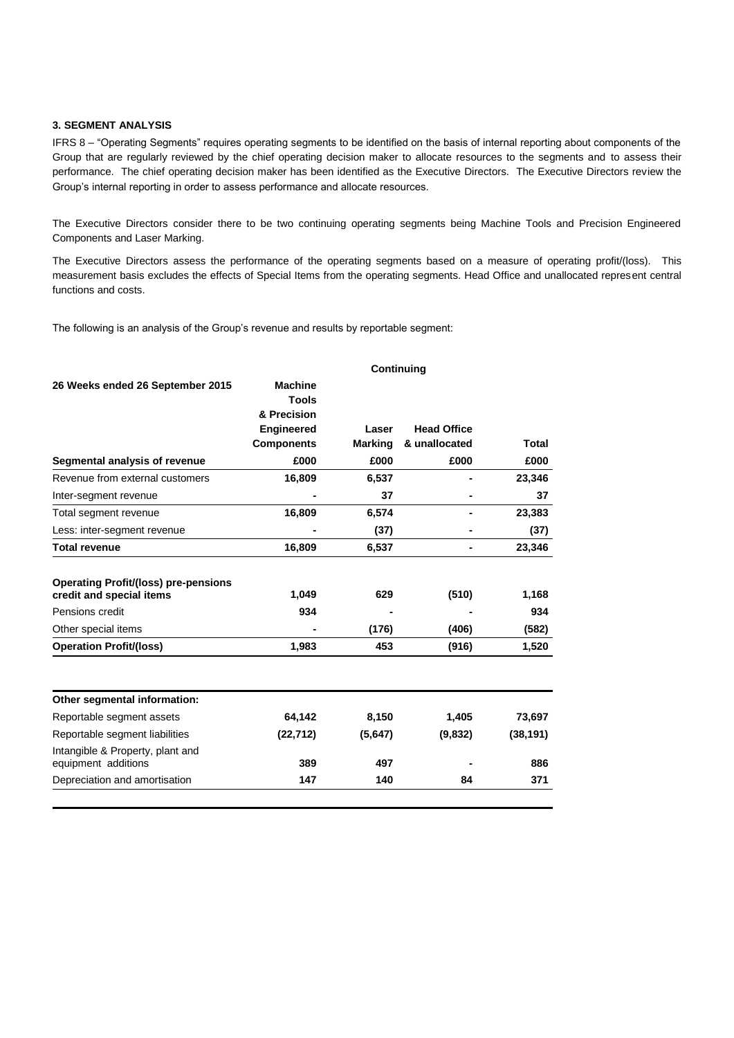#### **3. SEGMENT ANALYSIS**

IFRS 8 - "Operating Segments" requires operating segments to be identified on the basis of internal reporting about components of the Group that are regularly reviewed by the chief operating decision maker to allocate resources to the segments and to assess their performance. The chief operating decision maker has been identified as the Executive Directors. The Executive Directors review the Group's internal reporting in order to assess performance and allocate resources.

The Executive Directors consider there to be two continuing operating segments being Machine Tools and Precision Engineered Components and Laser Marking.

The Executive Directors assess the performance of the operating segments based on a measure of operating profit/(loss). This measurement basis excludes the effects of Special Items from the operating segments. Head Office and unallocated represent central functions and costs.

The following is an analysis of the Group's revenue and results by reportable segment:

|                                                                                            | <b>Continuing</b>                      |                |                    |              |  |  |  |
|--------------------------------------------------------------------------------------------|----------------------------------------|----------------|--------------------|--------------|--|--|--|
| 26 Weeks ended 26 September 2015                                                           | <b>Machine</b><br>Tools<br>& Precision |                |                    |              |  |  |  |
|                                                                                            | <b>Engineered</b>                      | Laser          | <b>Head Office</b> |              |  |  |  |
|                                                                                            | <b>Components</b>                      | <b>Marking</b> | & unallocated      | Total        |  |  |  |
| Segmental analysis of revenue                                                              | £000                                   | £000           | £000               | £000         |  |  |  |
| Revenue from external customers                                                            | 16,809                                 | 6,537          |                    | 23,346       |  |  |  |
| Inter-segment revenue                                                                      |                                        | 37             |                    | 37           |  |  |  |
| Total segment revenue                                                                      | 16,809                                 | 6,574          |                    | 23,383       |  |  |  |
| Less: inter-segment revenue                                                                |                                        | (37)           |                    | (37)         |  |  |  |
| <b>Total revenue</b>                                                                       | 16,809                                 | 6,537          |                    | 23,346       |  |  |  |
| <b>Operating Profit/(loss) pre-pensions</b><br>credit and special items<br>Pensions credit | 1,049<br>934                           | 629            | (510)              | 1,168<br>934 |  |  |  |
| Other special items                                                                        |                                        | (176)          | (406)              | (582)        |  |  |  |
| <b>Operation Profit/(loss)</b>                                                             | 1,983                                  | 453            | (916)              | 1,520        |  |  |  |
| Other segmental information:                                                               |                                        |                |                    |              |  |  |  |
| Reportable segment assets                                                                  | 64,142                                 | 8,150          | 1,405              | 73,697       |  |  |  |
| Reportable segment liabilities                                                             | (22, 712)                              | (5,647)        | (9,832)            | (38, 191)    |  |  |  |
| Intangible & Property, plant and<br>equipment additions                                    | 389                                    | 497            |                    | 886          |  |  |  |
| Depreciation and amortisation                                                              | 147                                    | 140            | 84                 | 371          |  |  |  |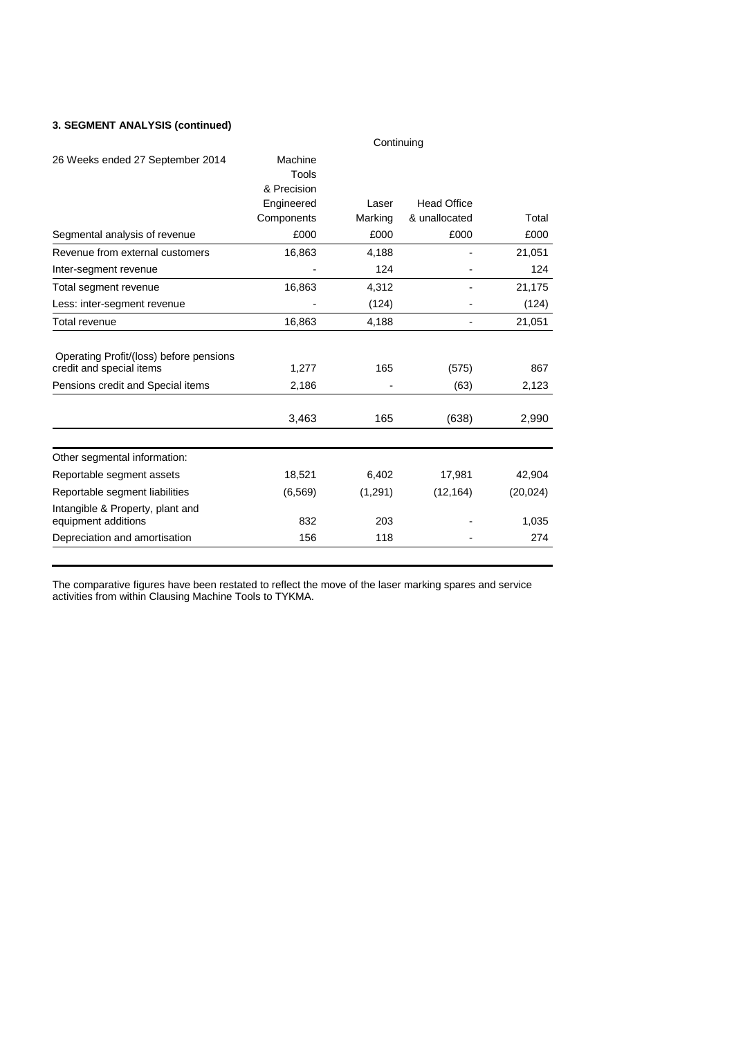### **3. SEGMENT ANALYSIS (continued)**

|                                                                     | Continuing                      |         |                    |           |  |  |  |  |
|---------------------------------------------------------------------|---------------------------------|---------|--------------------|-----------|--|--|--|--|
| 26 Weeks ended 27 September 2014                                    | Machine<br>Tools<br>& Precision |         |                    |           |  |  |  |  |
|                                                                     | Engineered                      | Laser   | <b>Head Office</b> |           |  |  |  |  |
|                                                                     | Components                      | Marking | & unallocated      | Total     |  |  |  |  |
| Segmental analysis of revenue                                       | £000                            | £000    | £000               | £000      |  |  |  |  |
| Revenue from external customers                                     | 16,863                          | 4,188   |                    | 21,051    |  |  |  |  |
| Inter-segment revenue                                               |                                 | 124     |                    | 124       |  |  |  |  |
| Total segment revenue                                               | 16,863                          | 4,312   |                    | 21,175    |  |  |  |  |
| Less: inter-segment revenue                                         |                                 | (124)   |                    | (124)     |  |  |  |  |
| Total revenue                                                       | 16,863                          | 4,188   | $\overline{a}$     | 21,051    |  |  |  |  |
| Operating Profit/(loss) before pensions<br>credit and special items | 1,277                           | 165     | (575)              | 867       |  |  |  |  |
| Pensions credit and Special items                                   | 2,186                           |         | (63)               | 2,123     |  |  |  |  |
|                                                                     | 3,463                           | 165     | (638)              | 2,990     |  |  |  |  |
| Other segmental information:                                        |                                 |         |                    |           |  |  |  |  |
| Reportable segment assets                                           | 18,521                          | 6,402   | 17,981             | 42,904    |  |  |  |  |
| Reportable segment liabilities                                      | (6, 569)                        | (1,291) | (12, 164)          | (20, 024) |  |  |  |  |
| Intangible & Property, plant and<br>equipment additions             | 832                             | 203     |                    | 1,035     |  |  |  |  |
| Depreciation and amortisation                                       | 156                             | 118     |                    | 274       |  |  |  |  |

The comparative figures have been restated to reflect the move of the laser marking spares and service activities from within Clausing Machine Tools to TYKMA.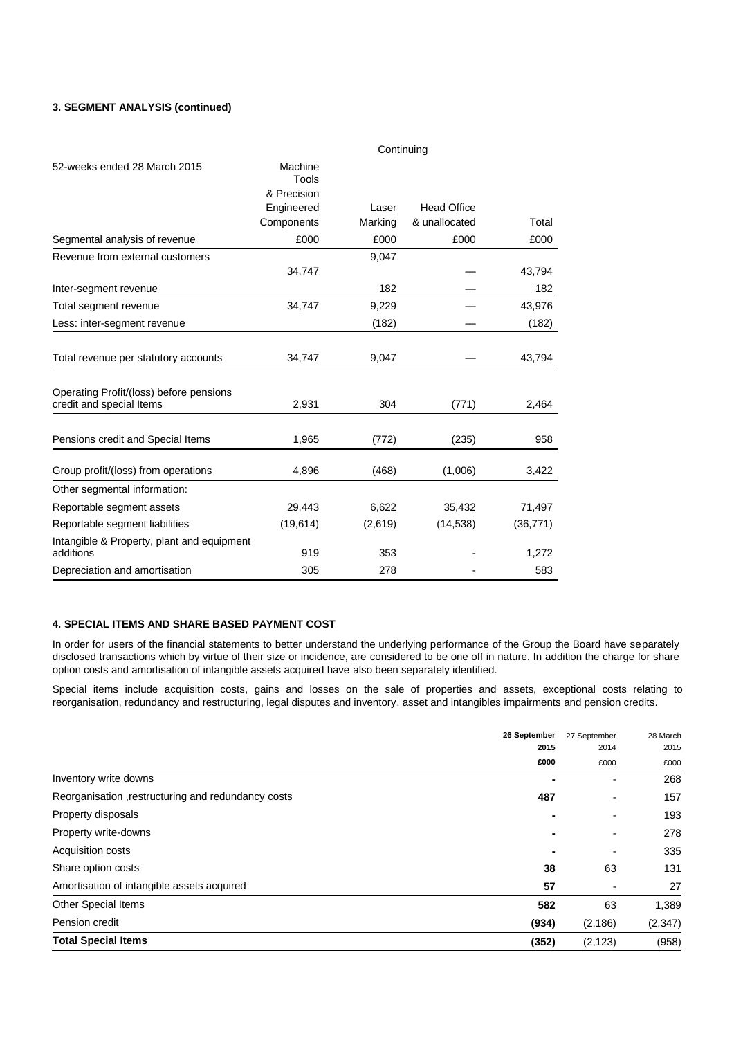### **3. SEGMENT ANALYSIS (continued)**

|                                                                     |                  | Continuing |                    |           |
|---------------------------------------------------------------------|------------------|------------|--------------------|-----------|
| 52-weeks ended 28 March 2015                                        | Machine<br>Tools |            |                    |           |
|                                                                     | & Precision      |            |                    |           |
|                                                                     | Engineered       | Laser      | <b>Head Office</b> |           |
|                                                                     | Components       | Marking    | & unallocated      | Total     |
| Segmental analysis of revenue                                       | £000             | £000       | £000               | £000      |
| Revenue from external customers                                     |                  | 9,047      |                    |           |
|                                                                     | 34,747           |            |                    | 43,794    |
| Inter-segment revenue                                               |                  | 182        |                    | 182       |
| Total segment revenue                                               | 34,747           | 9,229      |                    | 43,976    |
| Less: inter-segment revenue                                         |                  | (182)      |                    | (182)     |
| Total revenue per statutory accounts                                | 34,747           | 9,047      |                    | 43,794    |
| Operating Profit/(loss) before pensions<br>credit and special Items | 2,931            | 304        | (771)              | 2,464     |
|                                                                     |                  |            |                    |           |
| Pensions credit and Special Items                                   | 1,965            | (772)      | (235)              | 958       |
| Group profit/(loss) from operations                                 | 4,896            | (468)      | (1,006)            | 3,422     |
| Other segmental information:                                        |                  |            |                    |           |
| Reportable segment assets                                           | 29,443           | 6,622      | 35,432             | 71,497    |
| Reportable segment liabilities                                      | (19,614)         | (2,619)    | (14, 538)          | (36, 771) |
| Intangible & Property, plant and equipment<br>additions             | 919              | 353        |                    | 1,272     |
| Depreciation and amortisation                                       | 305              | 278        |                    | 583       |

### **4. SPECIAL ITEMS AND SHARE BASED PAYMENT COST**

In order for users of the financial statements to better understand the underlying performance of the Group the Board have separately disclosed transactions which by virtue of their size or incidence, are considered to be one off in nature. In addition the charge for share option costs and amortisation of intangible assets acquired have also been separately identified.

Special items include acquisition costs, gains and losses on the sale of properties and assets, exceptional costs relating to reorganisation, redundancy and restructuring, legal disputes and inventory, asset and intangibles impairments and pension credits.

|                                                    | 26 September   | 27 September<br>2014 | 28 March |
|----------------------------------------------------|----------------|----------------------|----------|
|                                                    | 2015           |                      | 2015     |
|                                                    | £000           | £000                 | £000     |
| Inventory write downs                              |                |                      | 268      |
| Reorganisation, restructuring and redundancy costs | 487            |                      | 157      |
| Property disposals                                 |                |                      | 193      |
| Property write-downs                               |                |                      | 278      |
| <b>Acquisition costs</b>                           | $\blacksquare$ | -                    | 335      |
| Share option costs                                 | 38             | 63                   | 131      |
| Amortisation of intangible assets acquired         | 57             |                      | 27       |
| <b>Other Special Items</b>                         | 582            | 63                   | 1,389    |
| Pension credit                                     | (934)          | (2, 186)             | (2, 347) |
| <b>Total Special Items</b>                         | (352)          | (2, 123)             | (958)    |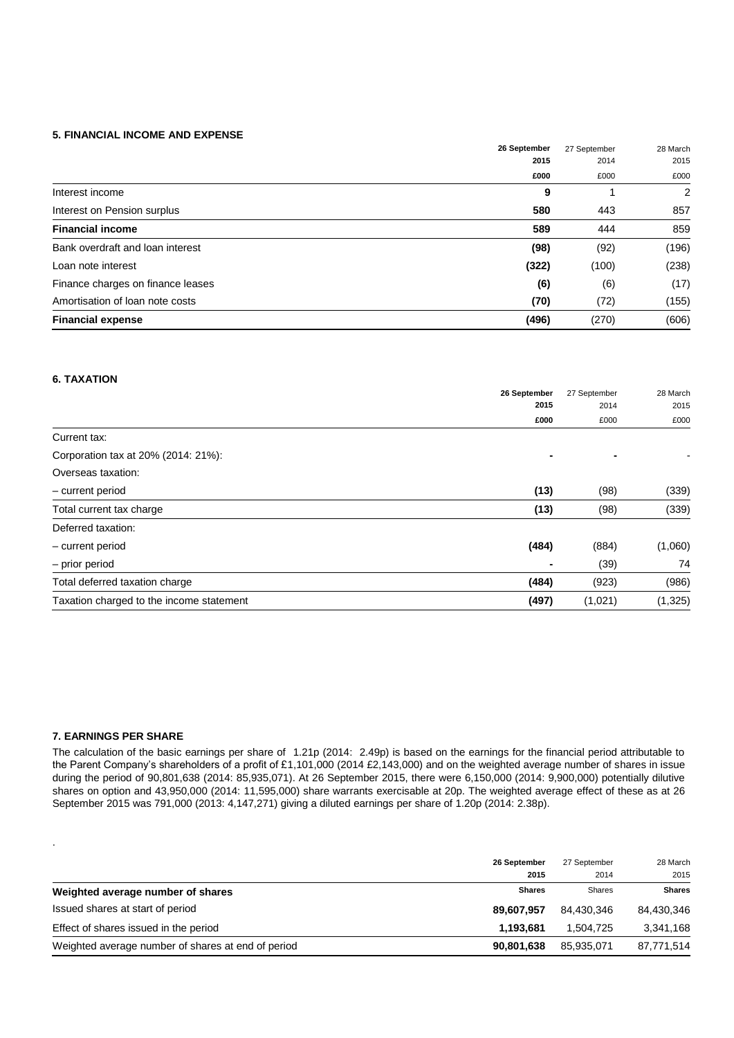### **5. FINANCIAL INCOME AND EXPENSE**

|                                   | 26 September<br>2015 | 27 September<br>2014 | 28 March<br>2015 |
|-----------------------------------|----------------------|----------------------|------------------|
|                                   |                      |                      |                  |
|                                   | £000                 | £000                 | £000             |
| Interest income                   | 9                    |                      | 2                |
| Interest on Pension surplus       | 580                  | 443                  | 857              |
| <b>Financial income</b>           | 589                  | 444                  | 859              |
| Bank overdraft and loan interest  | (98)                 | (92)                 | (196)            |
| Loan note interest                | (322)                | (100)                | (238)            |
| Finance charges on finance leases | (6)                  | (6)                  | (17)             |
| Amortisation of loan note costs   | (70)                 | (72)                 | (155)            |
| <b>Financial expense</b>          | (496)                | (270)                | (606)            |

### **6. TAXATION**

|                                          | 26 September<br>2015 | 27 September<br>2014<br>£000 | 28 March<br>2015 |
|------------------------------------------|----------------------|------------------------------|------------------|
|                                          |                      |                              |                  |
|                                          | £000                 |                              | £000             |
| Current tax:                             |                      |                              |                  |
| Corporation tax at 20% (2014: 21%):      | $\blacksquare$       |                              |                  |
| Overseas taxation:                       |                      |                              |                  |
| - current period                         | (13)                 | (98)                         | (339)            |
| Total current tax charge                 | (13)                 | (98)                         | (339)            |
| Deferred taxation:                       |                      |                              |                  |
| - current period                         | (484)                | (884)                        | (1,060)          |
| - prior period                           | ٠                    | (39)                         | 74               |
| Total deferred taxation charge           | (484)                | (923)                        | (986)            |
| Taxation charged to the income statement | (497)                | (1,021)                      | (1, 325)         |

### **7. EARNINGS PER SHARE**

.

The calculation of the basic earnings per share of 1.21p (2014: 2.49p) is based on the earnings for the financial period attributable to the Parent Company's shareholders of a profit of £1,101,000 (2014 £2,143,000) and on the weighted average number of shares in issue during the period of 90,801,638 (2014: 85,935,071). At 26 September 2015, there were 6,150,000 (2014: 9,900,000) potentially dilutive shares on option and 43,950,000 (2014: 11,595,000) share warrants exercisable at 20p. The weighted average effect of these as at 26 September 2015 was 791,000 (2013: 4,147,271) giving a diluted earnings per share of 1.20p (2014: 2.38p).

|                                                    | 26 September<br>2015 | 27 September<br>2014 | 28 March<br>2015 |
|----------------------------------------------------|----------------------|----------------------|------------------|
| Weighted average number of shares                  | <b>Shares</b>        | <b>Shares</b>        | <b>Shares</b>    |
| Issued shares at start of period                   | 89,607,957           | 84.430.346           | 84,430,346       |
| Effect of shares issued in the period              | 1.193.681            | 1.504.725            | 3,341,168        |
| Weighted average number of shares at end of period | 90,801,638           | 85,935,071           | 87,771,514       |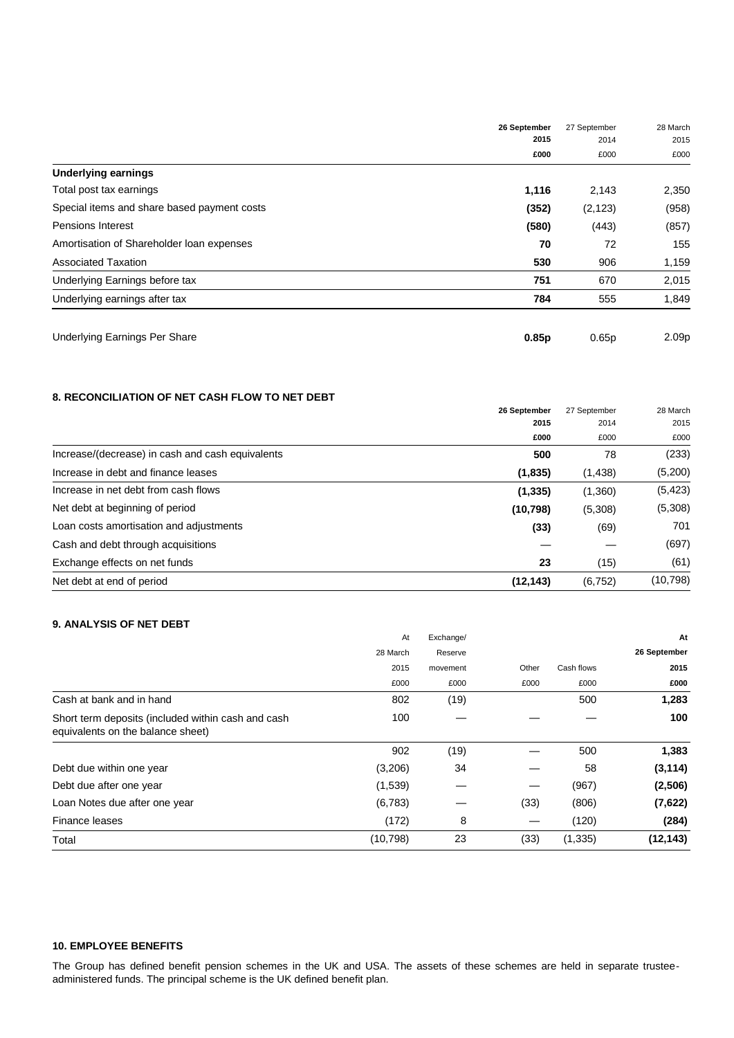|                                             | 26 September<br>2015 | 27 September<br>2014 | 28 March<br>2015  |
|---------------------------------------------|----------------------|----------------------|-------------------|
|                                             |                      |                      |                   |
|                                             | £000                 | £000                 | £000              |
| <b>Underlying earnings</b>                  |                      |                      |                   |
| Total post tax earnings                     | 1,116                | 2,143                | 2,350             |
| Special items and share based payment costs | (352)                | (2, 123)             | (958)             |
| <b>Pensions Interest</b>                    | (580)                | (443)                | (857)             |
| Amortisation of Shareholder Ioan expenses   | 70                   | 72                   | 155               |
| <b>Associated Taxation</b>                  | 530                  | 906                  | 1,159             |
| Underlying Earnings before tax              | 751                  | 670                  | 2,015             |
| Underlying earnings after tax               | 784                  | 555                  | 1,849             |
| Underlying Earnings Per Share               | 0.85 <sub>p</sub>    | 0.65p                | 2.09 <sub>p</sub> |

### **8. RECONCILIATION OF NET CASH FLOW TO NET DEBT**

| 0. HEVVINDIEIATIVN VI NET VAVITTEVN TV NET DED I |              |                              |                          |
|--------------------------------------------------|--------------|------------------------------|--------------------------|
|                                                  | 26 September | 27 September<br>2014<br>£000 | 28 March<br>2015<br>£000 |
|                                                  | 2015         |                              |                          |
|                                                  | £000         |                              |                          |
| Increase/(decrease) in cash and cash equivalents | 500          | 78                           | (233)                    |
| Increase in debt and finance leases              | (1,835)      | (1,438)                      | (5,200)                  |
| Increase in net debt from cash flows             | (1, 335)     | (1,360)                      | (5, 423)                 |
| Net debt at beginning of period                  | (10, 798)    | (5,308)                      | (5,308)                  |
| Loan costs amortisation and adjustments          | (33)         | (69)                         | 701                      |
| Cash and debt through acquisitions               |              |                              | (697)                    |
| Exchange effects on net funds                    | 23           | (15)                         | (61)                     |
| Net debt at end of period                        | (12, 143)    | (6, 752)                     | (10, 798)                |
|                                                  |              |                              |                          |

### **9. ANALYSIS OF NET DEBT**

|                                                                                         | At        | Exchange/ |       |            | At           |
|-----------------------------------------------------------------------------------------|-----------|-----------|-------|------------|--------------|
|                                                                                         | 28 March  | Reserve   |       |            | 26 September |
|                                                                                         | 2015      | movement  | Other | Cash flows | 2015         |
|                                                                                         | £000      | £000      | £000  | £000       | £000         |
| Cash at bank and in hand                                                                | 802       | (19)      |       | 500        | 1,283        |
| Short term deposits (included within cash and cash<br>equivalents on the balance sheet) | 100       |           |       |            | 100          |
|                                                                                         | 902       | (19)      |       | 500        | 1,383        |
| Debt due within one year                                                                | (3,206)   | 34        |       | 58         | (3, 114)     |
| Debt due after one year                                                                 | (1,539)   |           | —     | (967)      | (2,506)      |
| Loan Notes due after one year                                                           | (6,783)   |           | (33)  | (806)      | (7,622)      |
| Finance leases                                                                          | (172)     | 8         |       | (120)      | (284)        |
| Total                                                                                   | (10, 798) | 23        | (33)  | (1, 335)   | (12, 143)    |

### **10. EMPLOYEE BENEFITS**

The Group has defined benefit pension schemes in the UK and USA. The assets of these schemes are held in separate trusteeadministered funds. The principal scheme is the UK defined benefit plan.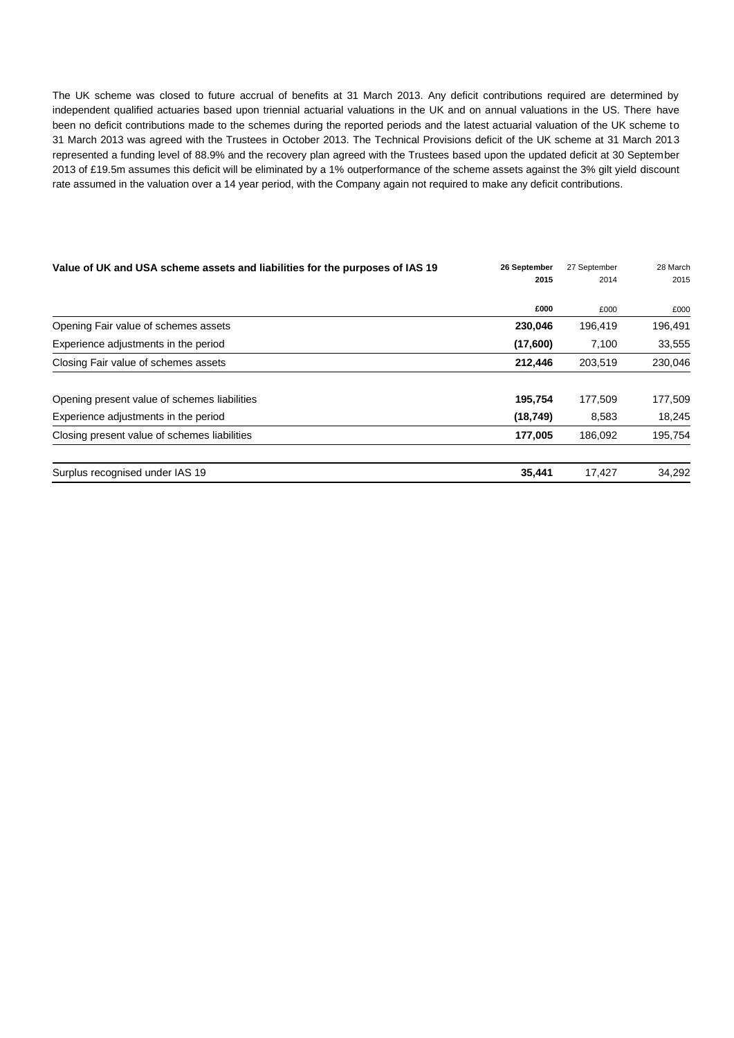The UK scheme was closed to future accrual of benefits at 31 March 2013. Any deficit contributions required are determined by independent qualified actuaries based upon triennial actuarial valuations in the UK and on annual valuations in the US. There have been no deficit contributions made to the schemes during the reported periods and the latest actuarial valuation of the UK scheme to 31 March 2013 was agreed with the Trustees in October 2013. The Technical Provisions deficit of the UK scheme at 31 March 2013 represented a funding level of 88.9% and the recovery plan agreed with the Trustees based upon the updated deficit at 30 September 2013 of £19.5m assumes this deficit will be eliminated by a 1% outperformance of the scheme assets against the 3% gilt yield discount rate assumed in the valuation over a 14 year period, with the Company again not required to make any deficit contributions.

| Value of UK and USA scheme assets and liabilities for the purposes of IAS 19 | 27 September         | 28 March |
|------------------------------------------------------------------------------|----------------------|----------|
|                                                                              |                      | 2015     |
| £000                                                                         | £000                 | £000     |
| 230,046                                                                      | 196,419              | 196,491  |
| (17,600)                                                                     | 7,100                | 33,555   |
| 212,446                                                                      | 203,519              | 230,046  |
| 195,754                                                                      | 177.509              | 177,509  |
| (18, 749)                                                                    | 8,583                | 18,245   |
| 177,005                                                                      | 186,092              | 195,754  |
| 35,441                                                                       | 17,427               | 34,292   |
|                                                                              | 26 September<br>2015 | 2014     |